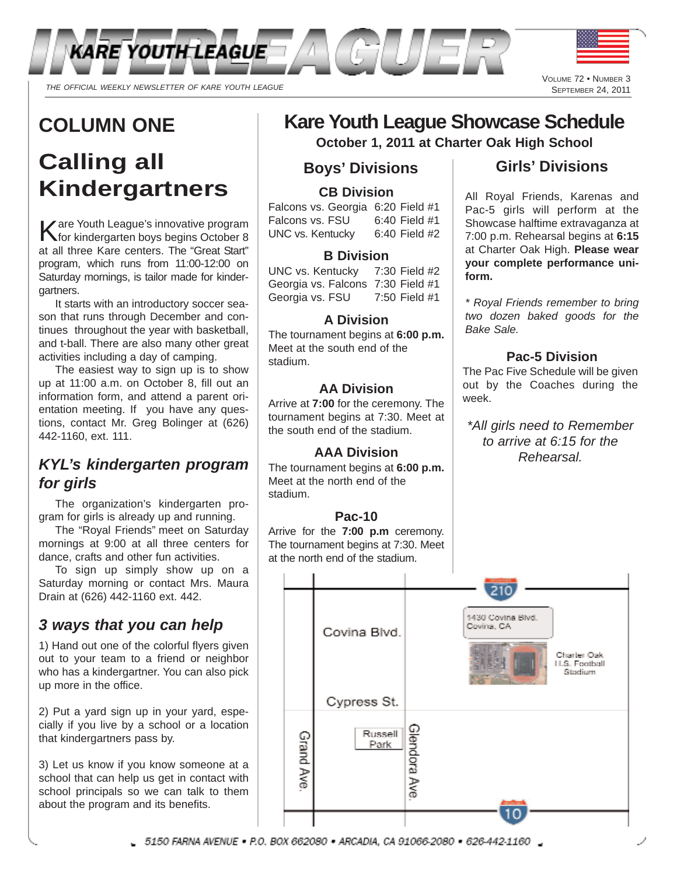

## **COLUMN ONE**

# **Calling all Kindergartners**

Kare Youth League's innovative program for kindergarten boys begins October 8 at all three Kare centers. The "Great Start" program, which runs from 11:00-12:00 on Saturday mornings, is tailor made for kindergartners.

It starts with an introductory soccer season that runs through December and continues throughout the year with basketball, and t-ball. There are also many other great activities including a day of camping.

The easiest way to sign up is to show up at 11:00 a.m. on October 8, fill out an information form, and attend a parent orientation meeting. If you have any questions, contact Mr. Greg Bolinger at (626) 442-1160, ext. 111.

#### *KYL's kindergarten program for girls*

The organization's kindergarten program for girls is already up and running.

The "Royal Friends" meet on Saturday mornings at 9:00 at all three centers for dance, crafts and other fun activities.

To sign up simply show up on a Saturday morning or contact Mrs. Maura Drain at (626) 442-1160 ext. 442.

### *3 ways that you can help*

1) Hand out one of the colorful flyers given out to your team to a friend or neighbor who has a kindergartner. You can also pick up more in the office.

2) Put a yard sign up in your yard, especially if you live by a school or a location that kindergartners pass by.

3) Let us know if you know someone at a school that can help us get in contact with school principals so we can talk to them about the program and its benefits.

# **Kare Youth League Showcase Schedule**

**October 1, 2011 at Charter Oak High School**

#### **Boys' Divisions**

#### **CB Division**

Falcons vs. Georgia 6:20 Field #1 Falcons vs. FSU 6:40 Field #1 UNC vs. Kentucky 6:40 Field #2

#### **B Division**

UNC vs. Kentucky 7:30 Field #2 Georgia vs. Falcons 7:30 Field #1 Georgia vs. FSU 7:50 Field #1

#### **A Division**

The tournament begins at **6:00 p.m.** Meet at the south end of the stadium.

#### **AA Division**

Arrive at **7:00** for the ceremony. The tournament begins at 7:30. Meet at the south end of the stadium.

#### **AAA Division**

The tournament begins at **6:00 p.m.** Meet at the north end of the stadium.

#### **Pac-10**

Arrive for the **7:00 p.m** ceremony. The tournament begins at 7:30. Meet at the north end of the stadium.

### **Girls' Divisions**

All Royal Friends, Karenas and Pac-5 girls will perform at the Showcase halftime extravaganza at 7:00 p.m. Rehearsal begins at **6:15** at Charter Oak High. **Please wear your complete performance uniform.**

*\* Royal Friends remember to bring two dozen baked goods for the Bake Sale.*

#### **Pac-5 Division**

The Pac Five Schedule will be given out by the Coaches during the week.

*\*All girls need to Remember to arrive at 6:15 for the Rehearsal.*